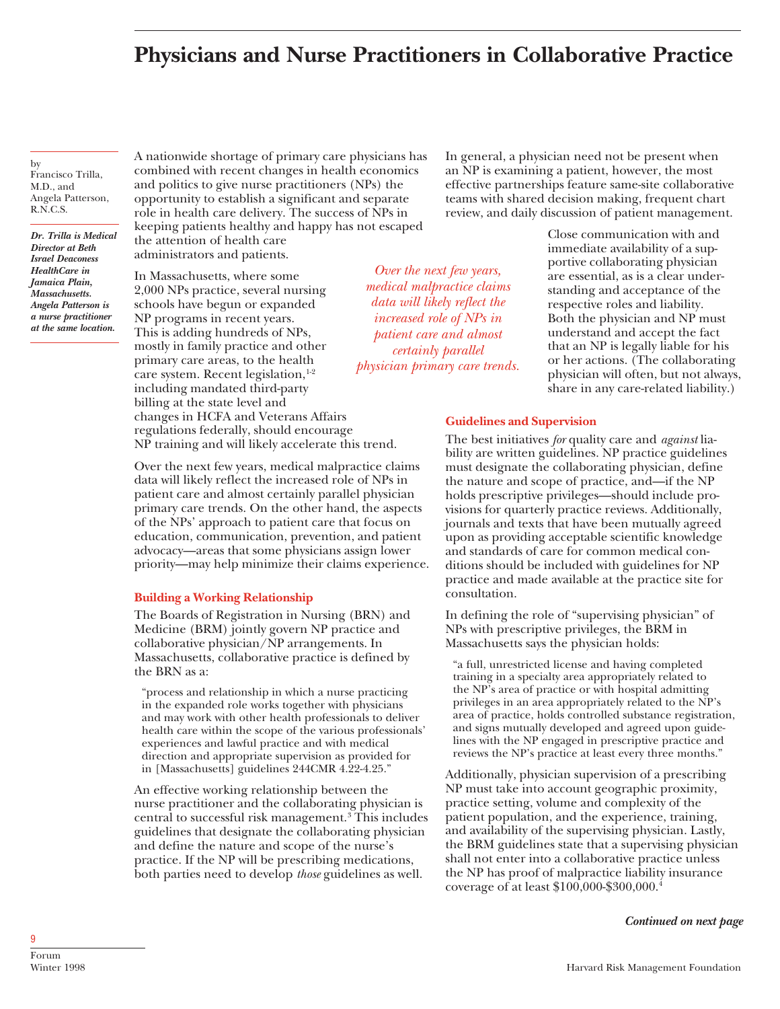# **Physicians and Nurse Practitioners in Collaborative Practice**

by Francisco Trilla, M.D., and Angela Patterson, R.N.C.S.

*Dr. Trilla is Medical Director at Beth Israel Deaconess HealthCare in Jamaica Plain, Massachusetts. Angela Patterson is a nurse practitioner at the same location.*

A nationwide shortage of primary care physicians has combined with recent changes in health economics and politics to give nurse practitioners (NPs) the opportunity to establish a significant and separate role in health care delivery. The success of NPs in keeping patients healthy and happy has not escaped the attention of health care

administrators and patients.

In Massachusetts, where some 2,000 NPs practice, several nursing schools have begun or expanded NP programs in recent years. This is adding hundreds of NPs, mostly in family practice and other primary care areas, to the health care system. Recent legislation, $1-2$ including mandated third-party billing at the state level and changes in HCFA and Veterans Affairs regulations federally, should encourage NP training and will likely accelerate this trend.

Over the next few years, medical malpractice claims data will likely reflect the increased role of NPs in patient care and almost certainly parallel physician primary care trends. On the other hand, the aspects of the NPs' approach to patient care that focus on education, communication, prevention, and patient advocacy—areas that some physicians assign lower priority—may help minimize their claims experience.

## **Building a Working Relationship**

The Boards of Registration in Nursing (BRN) and Medicine (BRM) jointly govern NP practice and collaborative physician/NP arrangements. In Massachusetts, collaborative practice is defined by the BRN as a:

"process and relationship in which a nurse practicing in the expanded role works together with physicians and may work with other health professionals to deliver health care within the scope of the various professionals' experiences and lawful practice and with medical direction and appropriate supervision as provided for in [Massachusetts] guidelines 244CMR 4.22-4.25."

An effective working relationship between the nurse practitioner and the collaborating physician is central to successful risk management.<sup>3</sup> This includes guidelines that designate the collaborating physician and define the nature and scope of the nurse's practice. If the NP will be prescribing medications, both parties need to develop *those* guidelines as well.

In general, a physician need not be present when an NP is examining a patient, however, the most effective partnerships feature same-site collaborative teams with shared decision making, frequent chart review, and daily discussion of patient management.

*Over the next few years, medical malpractice claims data will likely reflect the increased role of NPs in patient care and almost certainly parallel physician primary care trends.*

Close communication with and immediate availability of a supportive collaborating physician are essential, as is a clear understanding and acceptance of the respective roles and liability. Both the physician and NP must understand and accept the fact that an NP is legally liable for his or her actions. (The collaborating physician will often, but not always, share in any care-related liability.)

## **Guidelines and Supervision**

The best initiatives *for* quality care and *against* liability are written guidelines. NP practice guidelines must designate the collaborating physician, define the nature and scope of practice, and—if the NP holds prescriptive privileges—should include provisions for quarterly practice reviews. Additionally, journals and texts that have been mutually agreed upon as providing acceptable scientific knowledge and standards of care for common medical conditions should be included with guidelines for NP practice and made available at the practice site for consultation.

In defining the role of "supervising physician" of NPs with prescriptive privileges, the BRM in Massachusetts says the physician holds:

"a full, unrestricted license and having completed training in a specialty area appropriately related to the NP's area of practice or with hospital admitting privileges in an area appropriately related to the NP's area of practice, holds controlled substance registration, and signs mutually developed and agreed upon guidelines with the NP engaged in prescriptive practice and reviews the NP's practice at least every three months."

Additionally, physician supervision of a prescribing NP must take into account geographic proximity, practice setting, volume and complexity of the patient population, and the experience, training, and availability of the supervising physician. Lastly, the BRM guidelines state that a supervising physician shall not enter into a collaborative practice unless the NP has proof of malpractice liability insurance coverage of at least \$100,000-\$300,000.4

*Continued on next page*